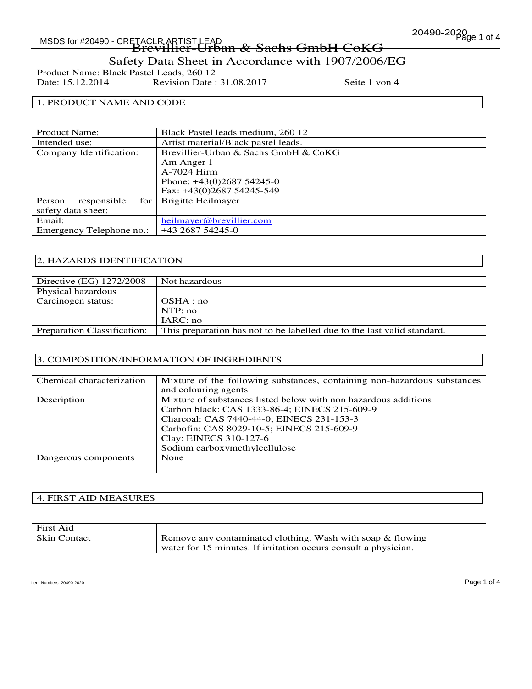# Page 1 of 4 MSDS for #20490 - CRETACLR ARTIST LEAD

## -TACLRARUSLIEAD<br>Brevillier-Urban & Sachs GmbH CoKG Safety Data Sheet in Accordance with 1907/2006/EG

Product Name: Black Pastel Leads, 260 12<br>Date: 15.12.2014 Revision Date: Revision Date : 31.08.2017 Seite 1 von 4

## 1. PRODUCT NAME AND CODE

| Black Pastel leads medium, 260 12    |
|--------------------------------------|
| Artist material/Black pastel leads.  |
| Brevillier-Urban & Sachs GmbH & CoKG |
| Am Anger 1                           |
| A-7024 Hirm                          |
| Phone: $+43(0)268754245-0$           |
| Fax: $+43(0)268754245-549$           |
| Brigitte Heilmayer<br>for            |
|                                      |
| heilmayer@brevillier.com             |
| +43 2687 54245-0                     |
|                                      |

### 2. HAZARDS IDENTIFICATION

| Directive (EG) 1272/2008    | Not hazardous                                                           |
|-----------------------------|-------------------------------------------------------------------------|
| Physical hazardous          |                                                                         |
| Carcinogen status:          | OSHA:no                                                                 |
|                             | NTP: no                                                                 |
|                             | IARC: no                                                                |
| Preparation Classification: | This preparation has not to be labelled due to the last valid standard. |

### 3. COMPOSITION/INFORMATION OF INGREDIENTS

| Chemical characterization | Mixture of the following substances, containing non-hazardous substances |
|---------------------------|--------------------------------------------------------------------------|
|                           | and colouring agents                                                     |
| Description               | Mixture of substances listed below with non hazardous additions          |
|                           | Carbon black: CAS 1333-86-4; EINECS 215-609-9                            |
|                           | Charcoal: CAS 7440-44-0; EINECS 231-153-3                                |
|                           | Carbofin: CAS 8029-10-5; EINECS 215-609-9                                |
|                           | Clay: EINECS 310-127-6                                                   |
|                           | Sodium carboxymethylcellulose                                            |
| Dangerous components      | None                                                                     |
|                           |                                                                          |

#### 4. FIRST AID MEASURES

| First Aid           |                                                                 |
|---------------------|-----------------------------------------------------------------|
| <b>Skin Contact</b> | Remove any contaminated clothing. Wash with soap & flowing      |
|                     | water for 15 minutes. If irritation occurs consult a physician. |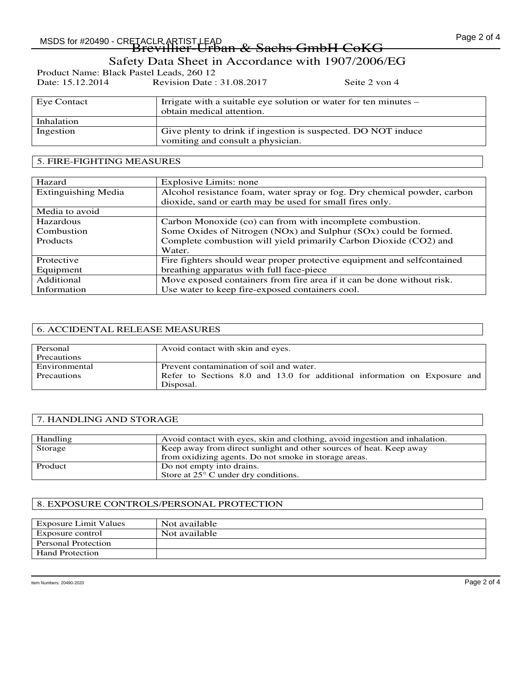## MSDS for #20490 - CRETACLR ARTIST LEAD  $\begin{array}{ccc} & 0 & 0 & 1 \ 0 & 0 & 0 & 1 \end{array}$  Page 2 of 4 -TACLRARUSLIEAD<br>Brevillier-Urban & Sachs GmbH CoKG

Safety Data Sheet in Accordance with 1907/2006/EG

Product Name: Black Pastel Leads, 260 12<br>Date: 15.12.2014 Revision Date: Revision Date : 31.08.2017 Seite 2 von 4

| Eye Contact | Irrigate with a suitable eye solution or water for ten minutes – |
|-------------|------------------------------------------------------------------|
|             | obtain medical attention.                                        |
| Inhalation  |                                                                  |
| Ingestion   | Give plenty to drink if ingestion is suspected. DO NOT induce    |
|             | vomiting and consult a physician.                                |

### 5. FIRE-FIGHTING MEASURES

| Hazard                     | Explosive Limits: none                                                   |
|----------------------------|--------------------------------------------------------------------------|
| <b>Extinguishing Media</b> | Alcohol resistance foam, water spray or fog. Dry chemical powder, carbon |
|                            | dioxide, sand or earth may be used for small fires only.                 |
| Media to avoid             |                                                                          |
| Hazardous                  | Carbon Monoxide (co) can from with incomplete combustion.                |
| Combustion                 | Some Oxides of Nitrogen (NOx) and Sulphur (SOx) could be formed.         |
| <b>Products</b>            | Complete combustion will yield primarily Carbon Dioxide (CO2) and        |
|                            | Water.                                                                   |
| Protective                 | Fire fighters should wear proper protective equipment and selfcontained  |
| Equipment                  | breathing apparatus with full face-piece                                 |
| Additional                 | Move exposed containers from fire area if it can be done without risk.   |
| Information                | Use water to keep fire-exposed containers cool.                          |

### 6. ACCIDENTAL RELEASE MEASURES

| Personal      | Avoid contact with skin and eyes.                                         |
|---------------|---------------------------------------------------------------------------|
| Precautions   |                                                                           |
| Environmental | Prevent contamination of soil and water.                                  |
| Precautions   | Refer to Sections 8.0 and 13.0 for additional information on Exposure and |
|               | Disposal.                                                                 |

### 7. HANDLING AND STORAGE

| Handling | Avoid contact with eyes, skin and clothing, avoid ingestion and inhalation. |
|----------|-----------------------------------------------------------------------------|
| Storage  | Keep away from direct sunlight and other sources of heat. Keep away         |
|          | from oxidizing agents. Do not smoke in storage areas.                       |
| Product  | Do not empty into drains.                                                   |
|          | Store at $25^{\circ}$ C under dry conditions.                               |

### 8. EXPOSURE CONTROLS/PERSONAL PROTECTION

| Exposure Limit Values      | Not available |
|----------------------------|---------------|
| Exposure control           | Not available |
| <b>Personal Protection</b> |               |
| <b>Hand Protection</b>     |               |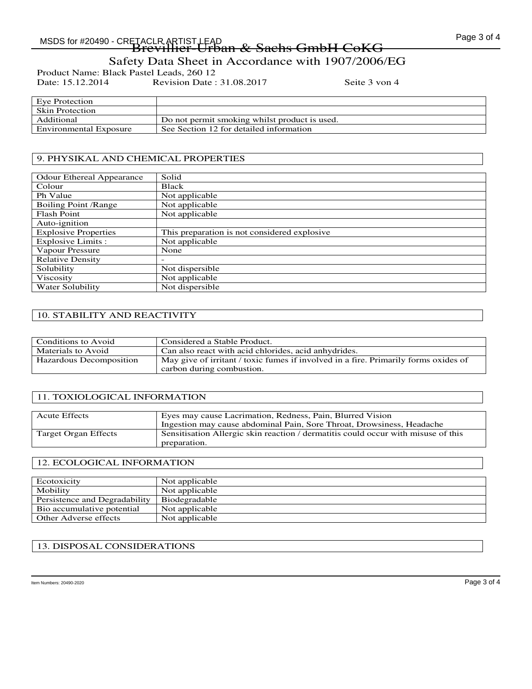## MSDS for #20490 - CRETACLR ARTIST LEAD  $\begin{array}{cc} 0 & 0 & 1 \end{array}$  and  $\begin{array}{cc} 1 & 0 \end{array}$  and  $\begin{array}{cc} 1 & 0 \end{array}$   $\begin{array}{cc} 1 & 0 \end{array}$   $\begin{array}{cc} 1 & 0 \end{array}$   $\begin{array}{cc} 1 & 0 \end{array}$   $\begin{array}{cc} 1 & 0 \end{array}$   $\begin{array}{cc} 1 & 0 \end{array}$   $\begin{array}{cc} 1 &$ -TACLRARUSLIEAD<br>Brevillier-Urban & Sachs GmbH CoKG

## Safety Data Sheet in Accordance with 1907/2006/EG

Product Name: Black Pastel Leads, 260 12<br>Date: 15.12.2014 Revision Date: Revision Date : 31.08.2017 Seite 3 von 4

| Eye Protection         |                                               |
|------------------------|-----------------------------------------------|
| <b>Skin Protection</b> |                                               |
| Additional             | Do not permit smoking whilst product is used. |
| Environmental Exposure | See Section 12 for detailed information       |
|                        |                                               |

### 9. PHYSIKAL AND CHEMICAL PROPERTIES

| <b>Odour Ethereal Appearance</b> | Solid                                        |
|----------------------------------|----------------------------------------------|
| Colour                           | Black                                        |
| Ph Value                         | Not applicable                               |
| Boiling Point / Range            | Not applicable                               |
| <b>Flash Point</b>               | $\overline{\text{Not}}$ applicable           |
| Auto-ignition                    |                                              |
| <b>Explosive Properties</b>      | This preparation is not considered explosive |
| Explosive Limits :               | Not applicable                               |
| Vapour Pressure                  | None                                         |
| <b>Relative Density</b>          |                                              |
| Solubility                       | Not dispersible                              |
| Viscosity                        | Not applicable                               |
| Water Solubility                 | Not dispersible                              |

## 10. STABILITY AND REACTIVITY

| Conditions to Avoid     | Considered a Stable Product.                                                        |
|-------------------------|-------------------------------------------------------------------------------------|
| Materials to Avoid      | Can also react with acid chlorides, acid anhydrides.                                |
| Hazardous Decomposition | May give of irritant / toxic fumes if involved in a fire. Primarily forms oxides of |
|                         | carbon during combustion.                                                           |

### 11. TOXIOLOGICAL INFORMATION

| <b>Acute Effects</b> | Eyes may cause Lacrimation, Redness, Pain, Blurred Vision<br>Ingestion may cause abdominal Pain, Sore Throat, Drowsiness, Headache |
|----------------------|------------------------------------------------------------------------------------------------------------------------------------|
| Target Organ Effects | Sensitisation Allergic skin reaction / dermatitis could occur with misuse of this<br>preparation.                                  |

### 12. ECOLOGICAL INFORMATION

| Ecotoxicity                   | Not applicable |
|-------------------------------|----------------|
| Mobility                      | Not applicable |
| Persistence and Degradability | Biodegradable  |
| Bio accumulative potential    | Not applicable |
| Other Adverse effects         | Not applicable |

## 13. DISPOSAL CONSIDERATIONS